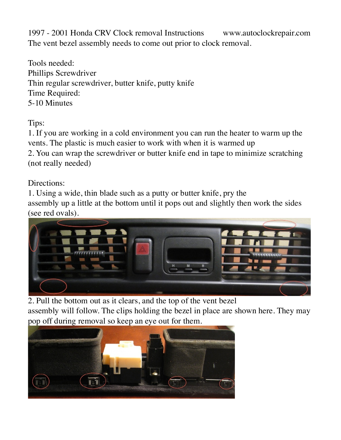1997 - 2001 Honda CRV Clock removal Instructions www.autoclockrepair.com The vent bezel assembly needs to come out prior to clock removal.

Tools needed: Phillips Screwdriver Thin regular screwdriver, butter knife, putty knife Time Required: 5-10 Minutes

Tips:

1. If you are working in a cold environment you can run the heater to warm up the vents. The plastic is much easier to work with when it is warmed up 2. You can wrap the screwdriver or butter knife end in tape to minimize scratching

(not really needed)

Directions:

1. Using a wide, thin blade such as a putty or butter knife, pry the assembly up a little at the bottom until it pops out and slightly then work the sides (see red ovals).



2. Pull the bottom out as it clears, and the top of the vent bezel assembly will follow. The clips holding the bezel in place are shown here. They may pop off during removal so keep an eye out for them.